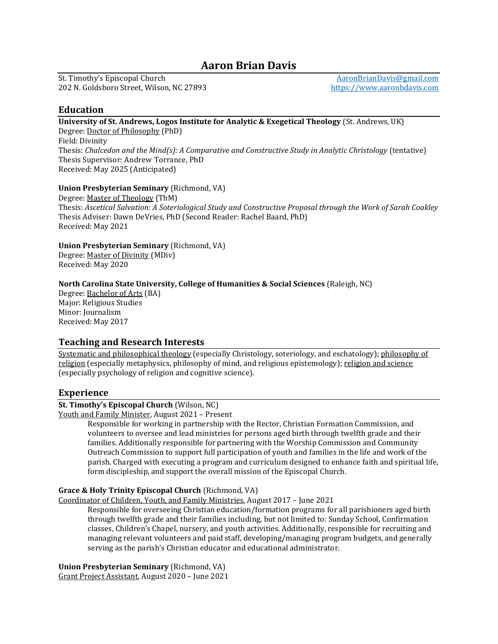# Aaron Brian Davis

St. Timothy's Episcopal Church 202 N. Goldsboro Street, Wilson, NC 27893

AaronBrianDavis@gmail.com https://www.aaronbdavis.com

# Education

University of St. Andrews, Logos Institute for Analytic & Exegetical Theology (St. Andrews, UK) Degree: Doctor of Philosophy (PhD)

Field: Divinity Thesis: Chalcedon and the Mind(s): A Comparative and Constructive Study in Analytic Christology (tentative) Thesis Supervisor: Andrew Torrance, PhD Received: May 2025 (Anticipated)

# Union Presbyterian Seminary (Richmond, VA)

Degree: Master of Theology (ThM) Thesis: Ascetical Salvation: A Soteriological Study and Constructive Proposal through the Work of Sarah Coakley Thesis Adviser: Dawn DeVries, PhD (Second Reader: Rachel Baard, PhD) Received: May 2021

#### Union Presbyterian Seminary (Richmond, VA)

Degree: Master of Divinity (MDiv) Received: May 2020

# North Carolina State University, College of Humanities & Social Sciences (Raleigh, NC)

Degree: Bachelor of Arts (BA) Major: Religious Studies Minor: Journalism Received: May 2017

# Teaching and Research Interests

Systematic and philosophical theology (especially Christology, soteriology, and eschatology); philosophy of religion (especially metaphysics, philosophy of mind, and religious epistemology); religion and science (especially psychology of religion and cognitive science).

# Experience

# St. Timothy's Episcopal Church (Wilson, NC)

Youth and Family Minister, August 2021 – Present

Responsible for working in partnership with the Rector, Christian Formation Commission, and volunteers to oversee and lead ministries for persons aged birth through twelfth grade and their families. Additionally responsible for partnering with the Worship Commission and Community Outreach Commission to support full participation of youth and families in the life and work of the parish. Charged with executing a program and curriculum designed to enhance faith and spiritual life, form discipleship, and support the overall mission of the Episcopal Church.

#### Grace & Holy Trinity Episcopal Church (Richmond, VA)

Coordinator of Children, Youth, and Family Ministries, August 2017 – June 2021

Responsible for overseeing Christian education/formation programs for all parishioners aged birth through twelfth grade and their families including, but not limited to: Sunday School, Confirmation classes, Children's Chapel, nursery, and youth activities. Additionally, responsible for recruiting and managing relevant volunteers and paid staff, developing/managing program budgets, and generally serving as the parish's Christian educator and educational administrator.

Union Presbyterian Seminary (Richmond, VA) Grant Project Assistant, August 2020 – June 2021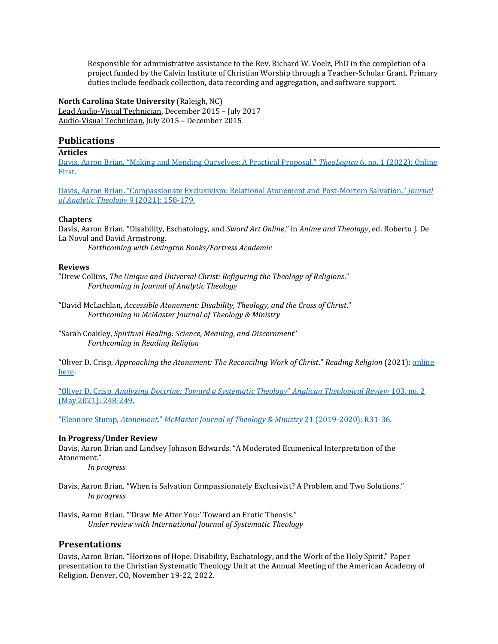Responsible for administrative assistance to the Rev. Richard W. Voelz, PhD in the completion of a project funded by the Calvin Institute of Christian Worship through a Teacher-Scholar Grant. Primary duties include feedback collection, data recording and aggregation, and software support.

North Carolina State University (Raleigh, NC) Lead Audio-Visual Technician, December 2015 – July 2017 Audio-Visual Technician, July 2015 – December 2015

# **Publications**

#### Articles

Davis, Aaron Brian. "Making and Mending Ourselves: A Practical Proposal." TheoLogica 6, no. 1 (2022): Online First.

Davis, Aaron Brian. "Compassionate Exclusivism: Relational Atonement and Post-Mortem Salvation." Journal of Analytic Theology 9 (2021): 158-179.

#### Chapters

Davis, Aaron Brian. "Disability, Eschatology, and Sword Art Online," in Anime and Theology, ed. Roberto J. De La Noval and David Armstrong.

Forthcoming with Lexington Books/Fortress Academic

#### Reviews

"Drew Collins, The Unique and Universal Christ: Refiguring the Theology of Religions." Forthcoming in Journal of Analytic Theology

"David McLachlan, Accessible Atonement: Disability, Theology, and the Cross of Christ." Forthcoming in McMaster Journal of Theology & Ministry

"Sarah Coakley, Spiritual Healing: Science, Meaning, and Discernment" Forthcoming in Reading Religion

"Oliver D. Crisp, Approaching the Atonement: The Reconciling Work of Christ." Reading Religion (2021): *online* here.

"Oliver D. Crisp, Analyzing Doctrine: Toward a Systematic Theology" Anglican Theological Review 103, no. 2 (May 2021): 248-249.

"Eleonore Stump, Atonement." McMaster Journal of Theology & Ministry 21 (2019-2020): R31-36.

#### In Progress/Under Review

Davis, Aaron Brian and Lindsey Johnson Edwards. "A Moderated Ecumenical Interpretation of the Atonement."

In progress

Davis, Aaron Brian. "When is Salvation Compassionately Exclusivist? A Problem and Two Solutions." In progress

Davis, Aaron Brian. "'Draw Me After You:' Toward an Erotic Theosis." Under review with International Journal of Systematic Theology

# **Presentations**

Davis, Aaron Brian. "Horizons of Hope: Disability, Eschatology, and the Work of the Holy Spirit." Paper presentation to the Christian Systematic Theology Unit at the Annual Meeting of the American Academy of Religion. Denver, CO, November 19-22, 2022.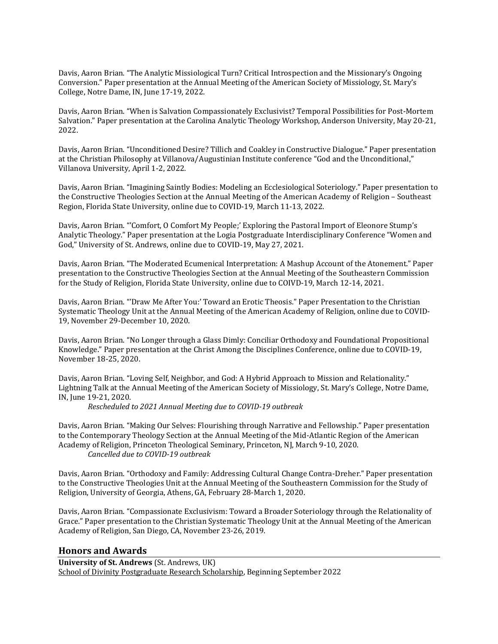Davis, Aaron Brian. "The Analytic Missiological Turn? Critical Introspection and the Missionary's Ongoing Conversion." Paper presentation at the Annual Meeting of the American Society of Missiology, St. Mary's College, Notre Dame, IN, June 17-19, 2022.

Davis, Aaron Brian. "When is Salvation Compassionately Exclusivist? Temporal Possibilities for Post-Mortem Salvation." Paper presentation at the Carolina Analytic Theology Workshop, Anderson University, May 20-21, 2022.

Davis, Aaron Brian. "Unconditioned Desire? Tillich and Coakley in Constructive Dialogue." Paper presentation at the Christian Philosophy at Villanova/Augustinian Institute conference "God and the Unconditional," Villanova University, April 1-2, 2022.

Davis, Aaron Brian. "Imagining Saintly Bodies: Modeling an Ecclesiological Soteriology." Paper presentation to the Constructive Theologies Section at the Annual Meeting of the American Academy of Religion – Southeast Region, Florida State University, online due to COVID-19, March 11-13, 2022.

Davis, Aaron Brian. "'Comfort, O Comfort My People;' Exploring the Pastoral Import of Eleonore Stump's Analytic Theology." Paper presentation at the Logia Postgraduate Interdisciplinary Conference "Women and God," University of St. Andrews, online due to COVID-19, May 27, 2021.

Davis, Aaron Brian. "The Moderated Ecumenical Interpretation: A Mashup Account of the Atonement." Paper presentation to the Constructive Theologies Section at the Annual Meeting of the Southeastern Commission for the Study of Religion, Florida State University, online due to COIVD-19, March 12-14, 2021.

Davis, Aaron Brian. "'Draw Me After You:' Toward an Erotic Theosis." Paper Presentation to the Christian Systematic Theology Unit at the Annual Meeting of the American Academy of Religion, online due to COVID-19, November 29-December 10, 2020.

Davis, Aaron Brian. "No Longer through a Glass Dimly: Conciliar Orthodoxy and Foundational Propositional Knowledge." Paper presentation at the Christ Among the Disciplines Conference, online due to COVID-19, November 18-25, 2020.

Davis, Aaron Brian. "Loving Self, Neighbor, and God: A Hybrid Approach to Mission and Relationality." Lightning Talk at the Annual Meeting of the American Society of Missiology, St. Mary's College, Notre Dame, IN, June 19-21, 2020.

Rescheduled to 2021 Annual Meeting due to COVID-19 outbreak

Davis, Aaron Brian. "Making Our Selves: Flourishing through Narrative and Fellowship." Paper presentation to the Contemporary Theology Section at the Annual Meeting of the Mid-Atlantic Region of the American Academy of Religion, Princeton Theological Seminary, Princeton, NJ, March 9-10, 2020. Cancelled due to COVID-19 outbreak

Davis, Aaron Brian. "Orthodoxy and Family: Addressing Cultural Change Contra-Dreher." Paper presentation to the Constructive Theologies Unit at the Annual Meeting of the Southeastern Commission for the Study of Religion, University of Georgia, Athens, GA, February 28-March 1, 2020.

Davis, Aaron Brian. "Compassionate Exclusivism: Toward a Broader Soteriology through the Relationality of Grace." Paper presentation to the Christian Systematic Theology Unit at the Annual Meeting of the American Academy of Religion, San Diego, CA, November 23-26, 2019.

#### Honors and Awards

University of St. Andrews (St. Andrews, UK) School of Divinity Postgraduate Research Scholarship, Beginning September 2022